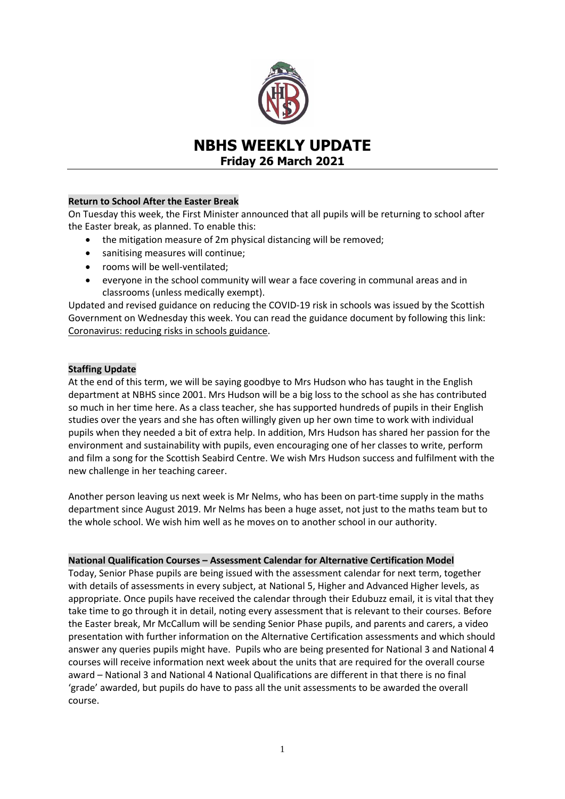

# **NBHS WEEKLY UPDATE Friday 26 March 2021**

# **Return to School After the Easter Break**

On Tuesday this week, the First Minister announced that all pupils will be returning to school after the Easter break, as planned. To enable this:

- the mitigation measure of 2m physical distancing will be removed;
- sanitising measures will continue;
- rooms will be well-ventilated;
- everyone in the school community will wear a face covering in communal areas and in classrooms (unless medically exempt).

Updated and revised guidance on reducing the COVID-19 risk in schools was issued by the Scottish Government on Wednesday this week. You can read the guidance document by following this link: [Coronavirus: reducing risks in schools guidance.](https://www.gov.scot/publications/coronavirus-covid-19-guidance-on-reducing-the-risks-in-schools/pages/overview/)

# **Staffing Update**

At the end of this term, we will be saying goodbye to Mrs Hudson who has taught in the English department at NBHS since 2001. Mrs Hudson will be a big loss to the school as she has contributed so much in her time here. As a class teacher, she has supported hundreds of pupils in their English studies over the years and she has often willingly given up her own time to work with individual pupils when they needed a bit of extra help. In addition, Mrs Hudson has shared her passion for the environment and sustainability with pupils, even encouraging one of her classes to write, perform and film a song for the Scottish Seabird Centre. We wish Mrs Hudson success and fulfilment with the new challenge in her teaching career.

Another person leaving us next week is Mr Nelms, who has been on part-time supply in the maths department since August 2019. Mr Nelms has been a huge asset, not just to the maths team but to the whole school. We wish him well as he moves on to another school in our authority.

## **National Qualification Courses – Assessment Calendar for Alternative Certification Model**

Today, Senior Phase pupils are being issued with the assessment calendar for next term, together with details of assessments in every subject, at National 5, Higher and Advanced Higher levels, as appropriate. Once pupils have received the calendar through their Edubuzz email, it is vital that they take time to go through it in detail, noting every assessment that is relevant to their courses. Before the Easter break, Mr McCallum will be sending Senior Phase pupils, and parents and carers, a video presentation with further information on the Alternative Certification assessments and which should answer any queries pupils might have. Pupils who are being presented for National 3 and National 4 courses will receive information next week about the units that are required for the overall course award – National 3 and National 4 National Qualifications are different in that there is no final 'grade' awarded, but pupils do have to pass all the unit assessments to be awarded the overall course.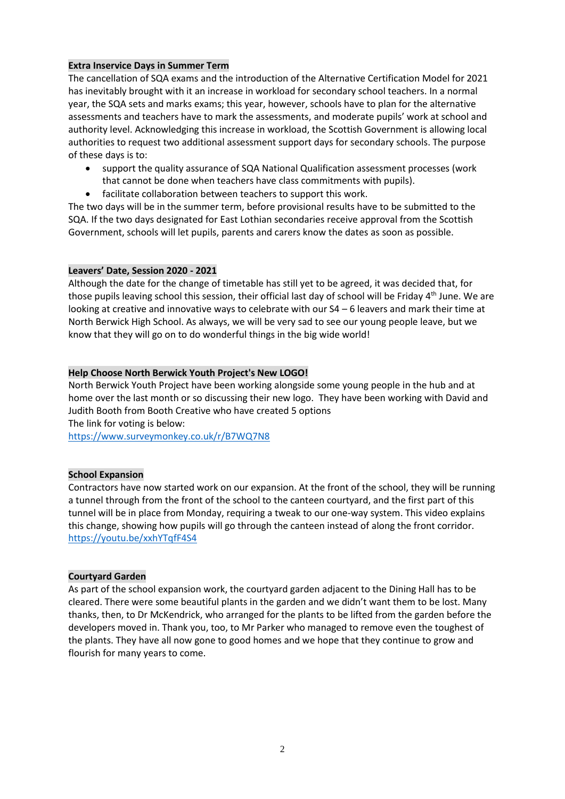# **Extra Inservice Days in Summer Term**

The cancellation of SQA exams and the introduction of the Alternative Certification Model for 2021 has inevitably brought with it an increase in workload for secondary school teachers. In a normal year, the SQA sets and marks exams; this year, however, schools have to plan for the alternative assessments and teachers have to mark the assessments, and moderate pupils' work at school and authority level. Acknowledging this increase in workload, the Scottish Government is allowing local authorities to request two additional assessment support days for secondary schools. The purpose of these days is to:

- support the quality assurance of SQA National Qualification assessment processes (work that cannot be done when teachers have class commitments with pupils).
- facilitate collaboration between teachers to support this work.

The two days will be in the summer term, before provisional results have to be submitted to the SQA. If the two days designated for East Lothian secondaries receive approval from the Scottish Government, schools will let pupils, parents and carers know the dates as soon as possible.

## **Leavers' Date, Session 2020 - 2021**

Although the date for the change of timetable has still yet to be agreed, it was decided that, for those pupils leaving school this session, their official last day of school will be Friday 4<sup>th</sup> June. We are looking at creative and innovative ways to celebrate with our S4 – 6 leavers and mark their time at North Berwick High School. As always, we will be very sad to see our young people leave, but we know that they will go on to do wonderful things in the big wide world!

## **Help Choose North Berwick Youth Project's New LOGO!**

North Berwick Youth Project have been working alongside some young people in the hub and at home over the last month or so discussing their new logo. They have been working with David and Judith Booth from Booth Creative who have created 5 options

The link for voting is below:

<https://www.surveymonkey.co.uk/r/B7WQ7N8>

## **School Expansion**

Contractors have now started work on our expansion. At the front of the school, they will be running a tunnel through from the front of the school to the canteen courtyard, and the first part of this tunnel will be in place from Monday, requiring a tweak to our one-way system. This video explains this change, showing how pupils will go through the canteen instead of along the front corridor. <https://youtu.be/xxhYTqfF4S4>

#### **Courtyard Garden**

As part of the school expansion work, the courtyard garden adjacent to the Dining Hall has to be cleared. There were some beautiful plants in the garden and we didn't want them to be lost. Many thanks, then, to Dr McKendrick, who arranged for the plants to be lifted from the garden before the developers moved in. Thank you, too, to Mr Parker who managed to remove even the toughest of the plants. They have all now gone to good homes and we hope that they continue to grow and flourish for many years to come.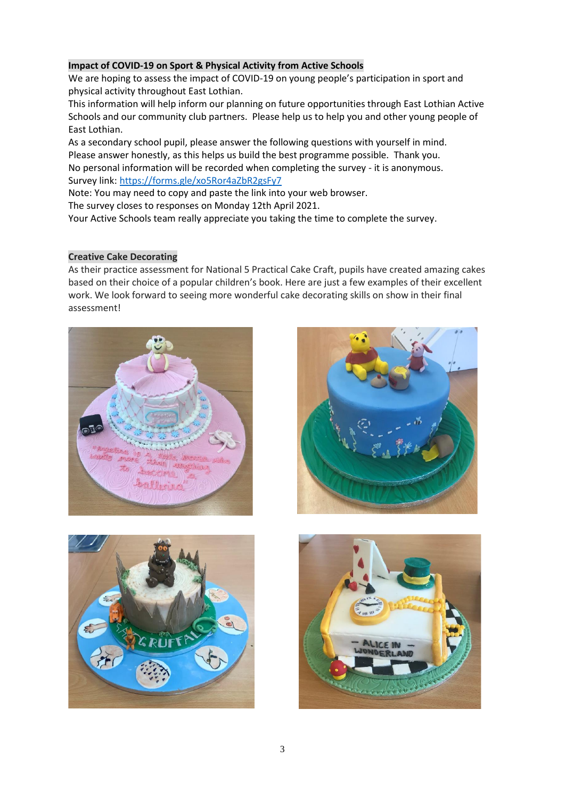# **Impact of COVID-19 on Sport & Physical Activity from Active Schools**

We are hoping to assess the impact of COVID-19 on young people's participation in sport and physical activity throughout East Lothian.

This information will help inform our planning on future opportunities through East Lothian Active Schools and our community club partners. Please help us to help you and other young people of East Lothian.

As a secondary school pupil, please answer the following questions with yourself in mind. Please answer honestly, as this helps us build the best programme possible. Thank you. No personal information will be recorded when completing the survey - it is anonymous. Survey link: [https://forms.gle/xo5Ror4aZbR2gsFy7](https://forms.gle/pQeJoLQHGGvqpNrL9)

Note: You may need to copy and paste the link into your web browser.

The survey closes to responses on Monday 12th April 2021.

Your Active Schools team really appreciate you taking the time to complete the survey.

# **Creative Cake Decorating**

As their practice assessment for National 5 Practical Cake Craft, pupils have created amazing cakes based on their choice of a popular children's book. Here are just a few examples of their excellent work. We look forward to seeing more wonderful cake decorating skills on show in their final assessment!







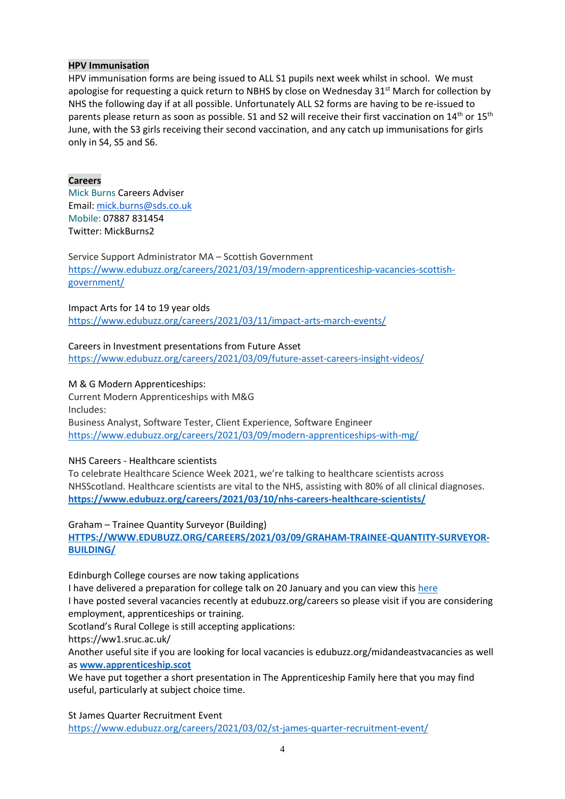## **HPV Immunisation**

HPV immunisation forms are being issued to ALL S1 pupils next week whilst in school. We must apologise for requesting a quick return to NBHS by close on Wednesday  $31<sup>st</sup>$  March for collection by NHS the following day if at all possible. Unfortunately ALL S2 forms are having to be re-issued to parents please return as soon as possible. S1 and S2 will receive their first vaccination on 14<sup>th</sup> or 15<sup>th</sup> June, with the S3 girls receiving their second vaccination, and any catch up immunisations for girls only in S4, S5 and S6.

# **Careers**

Mick Burns Careers Adviser Email: [mick.burns@sds.co.uk](https://mail.elcschool.org.uk/owa/redir.aspx?C=fbGa3DGVrsUoQB2CnJP23eXwMGzxu7J1CtarT6dTOwkq_NlpJujXCA..&URL=mailto%3amick.burns%40sds.co.uk) Mobile: 07887 831454 Twitter: MickBurns2

Service Support Administrator MA – Scottish Government [https://www.edubuzz.org/careers/2021/03/19/modern-apprenticeship-vacancies-scottish](https://www.edubuzz.org/careers/2021/03/19/modern-apprenticeship-vacancies-scottish-government/)[government/](https://www.edubuzz.org/careers/2021/03/19/modern-apprenticeship-vacancies-scottish-government/)

Impact Arts for 14 to 19 year olds <https://www.edubuzz.org/careers/2021/03/11/impact-arts-march-events/>

# Careers in Investment presentations from Future Asset <https://www.edubuzz.org/careers/2021/03/09/future-asset-careers-insight-videos/>

# M & G Modern Apprenticeships:

Current Modern Apprenticeships with M&G Includes: Business Analyst, Software Tester, Client Experience, Software Engineer <https://www.edubuzz.org/careers/2021/03/09/modern-apprenticeships-with-mg/>

## NHS Careers - Healthcare scientists

To celebrate Healthcare Science Week 2021, we're talking to healthcare scientists across NHSScotland. Healthcare scientists are vital to the NHS, assisting with 80% of all clinical diagnoses. **<https://www.edubuzz.org/careers/2021/03/10/nhs-careers-healthcare-scientists/>**

Graham – Trainee Quantity Surveyor (Building) **[HTTPS://WWW.EDUBUZZ.ORG/CAREERS/2021/03/09/GRAHAM-TRAINEE-QUANTITY-SURVEYOR-](https://www.edubuzz.org/careers/2021/03/09/graham-trainee-quantity-surveyor-building/)[BUILDING/](https://www.edubuzz.org/careers/2021/03/09/graham-trainee-quantity-surveyor-building/)**

Edinburgh College courses are now taking applications

I have delivered a preparation for college talk on 20 January and you can view thi[s here](https://www.edubuzz.org/careers/2017/12/06/applying-for-college-2018/) I have posted several vacancies recently at edubuzz.org/careers so please visit if you are considering employment, apprenticeships or training.

Scotland's Rural College is still accepting applications:

https://ww1.sruc.ac.uk/

Another useful site if you are looking for local vacancies is edubuzz.org/midandeastvacancies as well as **[www.apprenticeship.scot](http://www.apprenticeship.scot/)**

We have put together a short presentation in The Apprenticeship Family [here](https://www.edubuzz.org/careers/2021/01/21/apprenticeship-family/) that you may find useful, particularly at subject choice time.

St James Quarter Recruitment Event

<https://www.edubuzz.org/careers/2021/03/02/st-james-quarter-recruitment-event/>